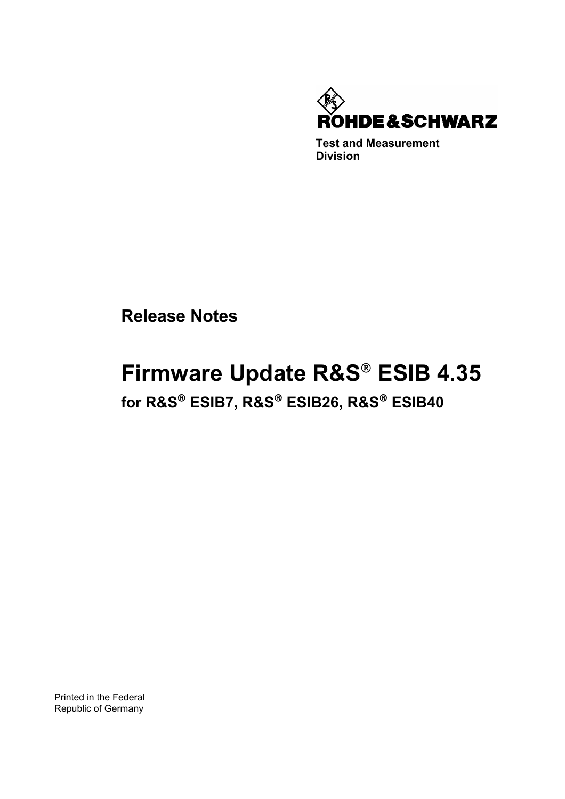

**Test and Measurement Division** 

**Release Notes**

# **Firmware Update R&S® ESIB 4.35**

**for R&S**- **ESIB7, R&S**- **ESIB26, R&S**- **ESIB40** 

Printed in the Federal Republic of Germany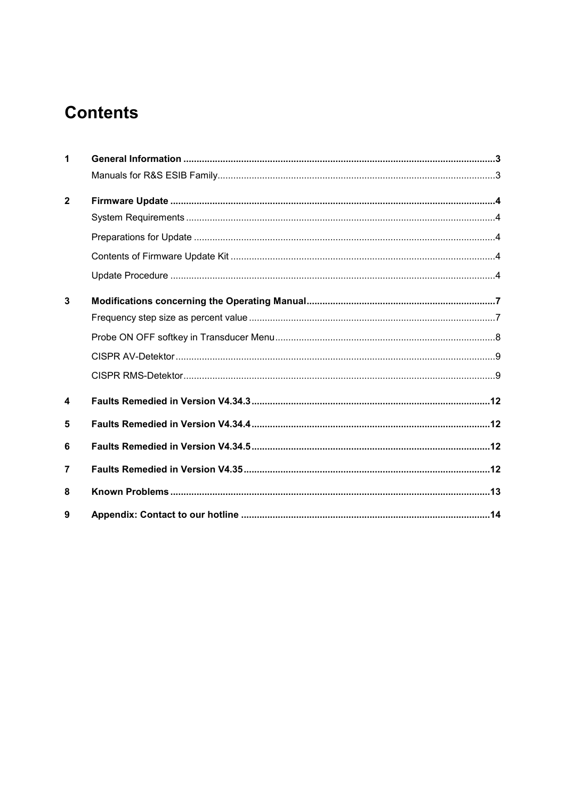# **Contents**

| 1              |  |
|----------------|--|
|                |  |
| $\mathbf{2}$   |  |
|                |  |
|                |  |
|                |  |
|                |  |
| 3              |  |
|                |  |
|                |  |
|                |  |
|                |  |
| 4              |  |
| 5              |  |
| 6              |  |
| $\overline{7}$ |  |
| 8              |  |
| 9              |  |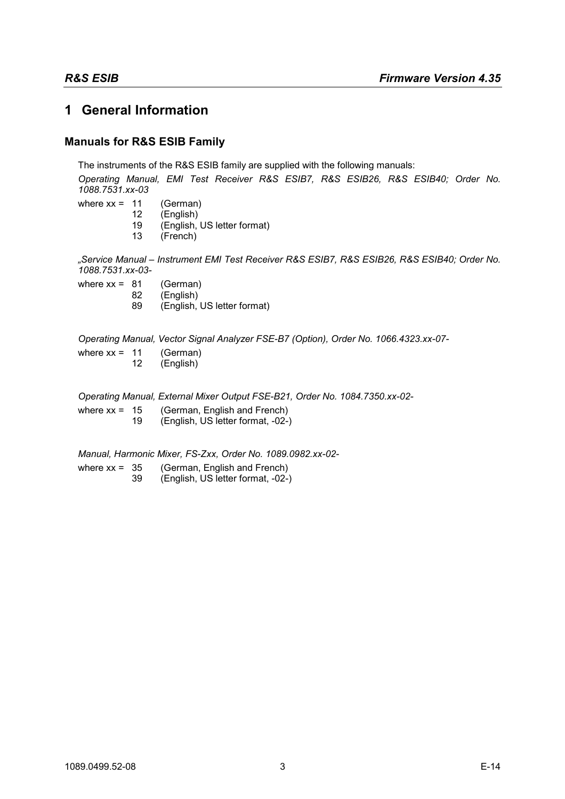# <span id="page-2-0"></span>**1 General Information**

## **Manuals for R&S ESIB Family**

The instruments of the R&S ESIB family are supplied with the following manuals: *Operating Manual, EMI Test Receiver R&S ESIB7, R&S ESIB26, R&S ESIB40; Order No. 1088.7531.xx-03* where  $xx = 11$  (German)<br>12 (English) 12 (English)<br>19 (English (English, US letter format) 13 (French) *"Service Manual – Instrument EMI Test Receiver R&S ESIB7, R&S ESIB26, R&S ESIB40; Order No. 1088.7531.xx-03* where  $xx = 81$  (German) 82 (English)<br>89 (English (English, US letter format) *Operating Manual, Vector Signal Analyzer FSE-B7 (Option), Order No. 1066.4323.xx-07* where  $xx = 11$  (German) 12 (English) *Operating Manual, External Mixer Output FSE-B21, Order No. 1084.7350.xx-02* where  $xx = 15$  (German, English and French) 19 (English, US letter format, -02-)

*Manual, Harmonic Mixer, FS-Zxx, Order No. 1089.0982.xx-02-*

where xx = 35 (German, English and French) 39 (English, US letter format, -02-)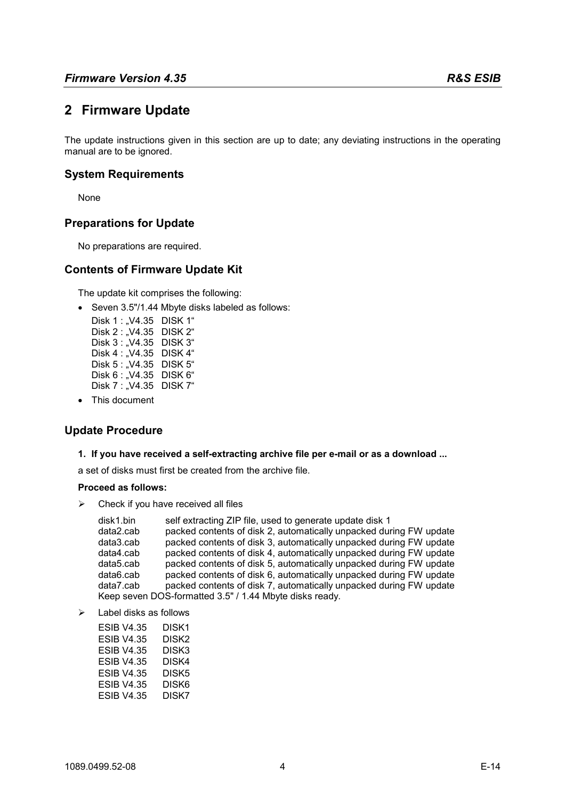# <span id="page-3-0"></span>**2 Firmware Update**

The update instructions given in this section are up to date; any deviating instructions in the operating manual are to be ignored.

#### **System Requirements**

None

#### **Preparations for Update**

No preparations are required.

#### **Contents of Firmware Update Kit**

The update kit comprises the following:

• Seven 3.5"/1.44 Mbyte disks labeled as follows:

| Disk 1 : "V4.35 | DISK 1"            |
|-----------------|--------------------|
| Disk 2 : "V4.35 | DISK 2"            |
| Disk 3 : "V4.35 | DISK 3"            |
| Disk 4 : .V4.35 | DISK <sub>4"</sub> |
| Disk 5 : "V4.35 | DISK 5"            |
| Disk 6 : "V4.35 | DISK 6"            |
| Disk 7 : "V4.35 | DISK 7"            |

• This document

#### **Update Procedure**

#### **1. If you have received a self-extracting archive file per e-mail or as a download ...**

a set of disks must first be created from the archive file.

#### **Proceed as follows:**

 $\triangleright$  Check if you have received all files

| disk1.bin | self extracting ZIP file, used to generate update disk 1           |
|-----------|--------------------------------------------------------------------|
| data2.cab | packed contents of disk 2, automatically unpacked during FW update |
| data3.cab | packed contents of disk 3, automatically unpacked during FW update |
| data4.cab | packed contents of disk 4, automatically unpacked during FW update |
| data5.cab | packed contents of disk 5, automatically unpacked during FW update |
| data6.cab | packed contents of disk 6, automatically unpacked during FW update |
| data7.cab | packed contents of disk 7, automatically unpacked during FW update |
|           | Keep seven DOS-formatted 3.5" / 1.44 Mbyte disks ready.            |

 $\triangleright$  Label disks as follows

| ESIB V4.35 | DISK1 |
|------------|-------|
| ESIB V4.35 | DISK2 |
| ESIB V4.35 | DISK3 |
| ESIB V4.35 | DISK4 |
| ESIB V4.35 | DISK5 |
| ESIB V4.35 | DISK6 |
| ESIB V4.35 | DISK7 |
|            |       |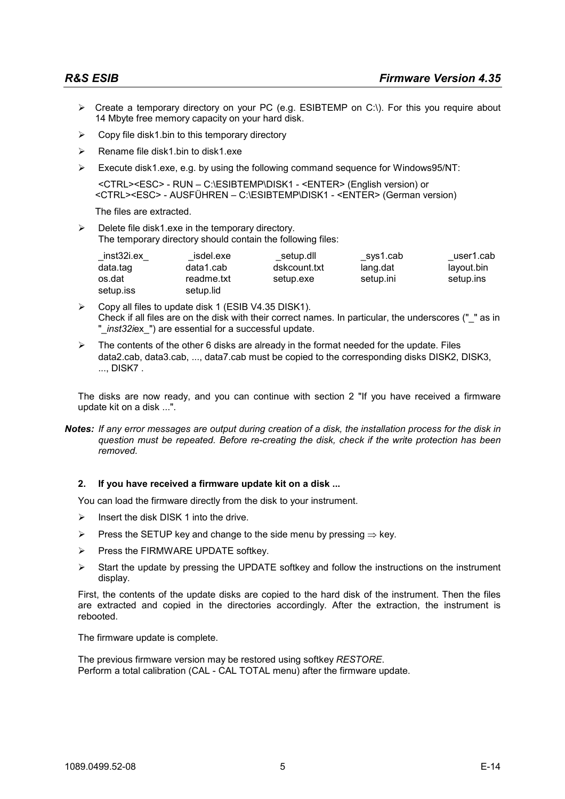- $\triangleright$  Create a temporary directory on your PC (e.g. ESIBTEMP on C:\). For this you require about 14 Mbyte free memory capacity on your hard disk.
- $\triangleright$  Copy file disk1.bin to this temporary directory
- $\triangleright$  Rename file disk1.bin to disk1.exe
- Execute disk1.exe, e.g. by using the following command sequence for Windows95/NT:

 <CTRL><ESC> - RUN – C:\ESIBTEMP\DISK1 - <ENTER> (English version) or <CTRL><ESC> - AUSFÜHREN – C:\ESIBTEMP\DISK1 - <ENTER> (German version)

The files are extracted.

 $\triangleright$  Delete file disk1.exe in the temporary directory. The temporary directory should contain the following files:

| inst <sub>32i.ex</sub> | isdel.exe  | setup.dll    | sys1.cab  | user1.cab  |
|------------------------|------------|--------------|-----------|------------|
| data.tag               | data1.cab  | dskcount.txt | lang.dat  | layout.bin |
| os.dat                 | readme.txt | setup.exe    | setup.ini | setup.ins  |
| setup.iss              | setup.lid  |              |           |            |

- Copy all files to update disk 1 (ESIB V4.35 DISK1). Check if all files are on the disk with their correct names. In particular, the underscores (" " as in "\_*inst32i*ex\_") are essential for a successful update.
- $\triangleright$  The contents of the other 6 disks are already in the format needed for the update. Files data2.cab, data3.cab, ..., data7.cab must be copied to the corresponding disks DISK2, DISK3, ..., DISK7 .

The disks are now ready, and you can continue with section 2 "If you have received a firmware update kit on a disk ...".

*Notes: If any error messages are output during creation of a disk, the installation process for the disk in question must be repeated. Before re-creating the disk, check if the write protection has been removed.* 

#### **2. If you have received a firmware update kit on a disk ...**

You can load the firmware directly from the disk to your instrument.

- $\triangleright$  Insert the disk DISK 1 into the drive.
- Press the SETUP key and change to the side menu by pressing  $\Rightarrow$  key.
- $\triangleright$  Press the FIRMWARE UPDATE softkey.
- $\triangleright$  Start the update by pressing the UPDATE softkey and follow the instructions on the instrument display.

First, the contents of the update disks are copied to the hard disk of the instrument. Then the files are extracted and copied in the directories accordingly. After the extraction, the instrument is rebooted.

The firmware update is complete.

The previous firmware version may be restored using softkey *RESTORE*. Perform a total calibration (CAL - CAL TOTAL menu) after the firmware update.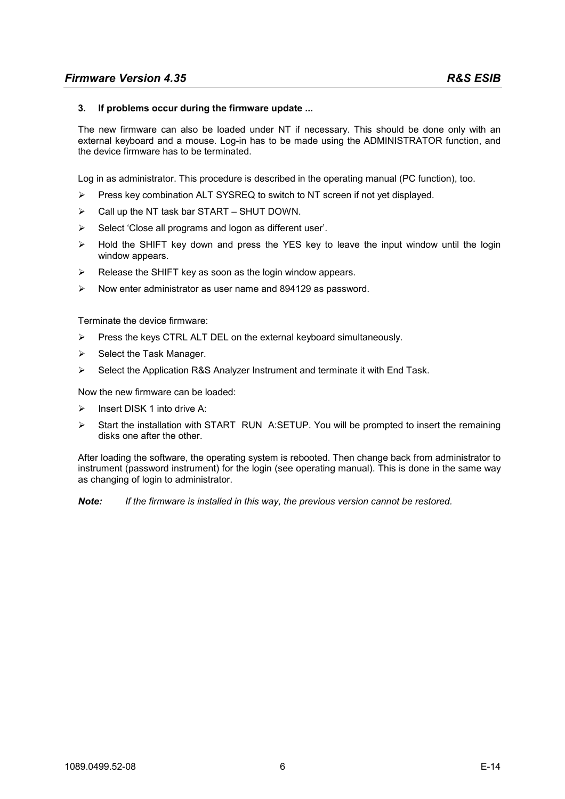#### **3. If problems occur during the firmware update ...**

The new firmware can also be loaded under NT if necessary. This should be done only with an external keyboard and a mouse. Log-in has to be made using the ADMINISTRATOR function, and the device firmware has to be terminated.

Log in as administrator. This procedure is described in the operating manual (PC function), too.

- $\triangleright$  Press key combination ALT SYSREQ to switch to NT screen if not yet displayed.
- $\triangleright$  Call up the NT task bar START SHUT DOWN.
- $\triangleright$  Select 'Close all programs and logon as different user'.
- Hold the SHIFT key down and press the YES key to leave the input window until the login window appears.
- $\triangleright$  Release the SHIFT key as soon as the login window appears.
- $\triangleright$  Now enter administrator as user name and 894129 as password.

Terminate the device firmware:

- Press the keys CTRL ALT DEL on the external keyboard simultaneously.
- $\triangleright$  Select the Task Manager.
- $\triangleright$  Select the Application R&S Analyzer Instrument and terminate it with End Task.

Now the new firmware can be loaded:

- Insert DISK 1 into drive A:
- $\triangleright$  Start the installation with START RUN A:SETUP. You will be prompted to insert the remaining disks one after the other.

After loading the software, the operating system is rebooted. Then change back from administrator to instrument (password instrument) for the login (see operating manual). This is done in the same way as changing of login to administrator.

*Note: If the firmware is installed in this way, the previous version cannot be restored.*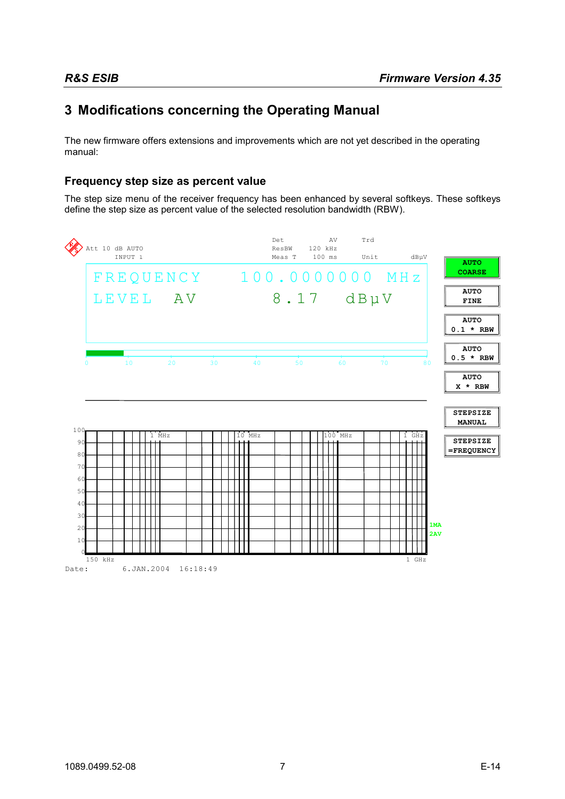# <span id="page-6-0"></span>**3 Modifications concerning the Operating Manual**

The new firmware offers extensions and improvements which are not yet described in the operating manual:

## **Frequency step size as percent value**

The step size menu of the receiver frequency has been enhanced by several softkeys. These softkeys define the step size as percent value of the selected resolution bandwidth (RBW).

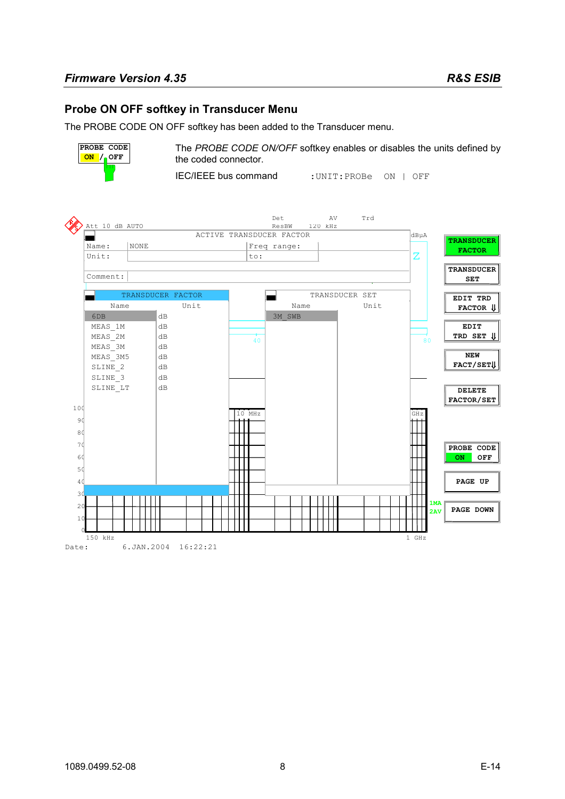### <span id="page-7-0"></span>**Probe ON OFF softkey in Transducer Menu**

The PROBE CODE ON OFF softkey has been added to the Transducer menu.



The *PROBE CODE ON/OFF* softkey enables or disables the units defined by the coded connector.

IEC/IEEE bus command :UNIT:PROBe ON | OFF

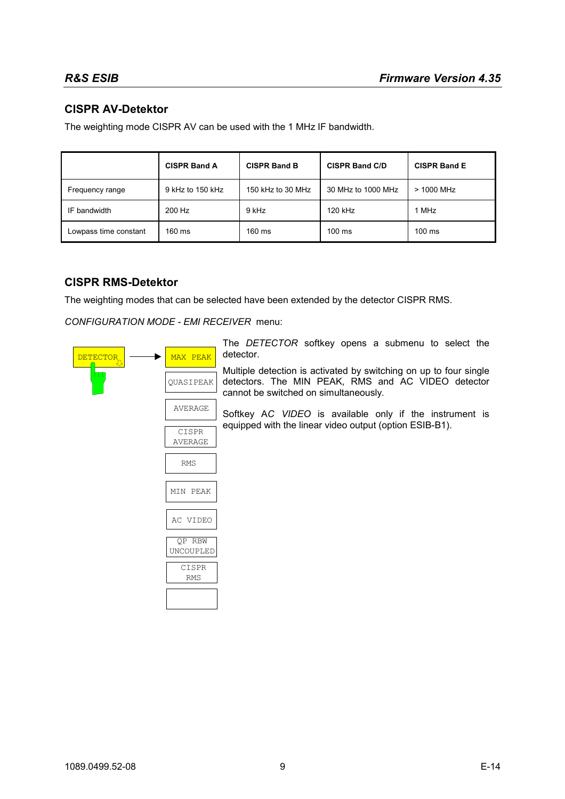# <span id="page-8-0"></span>**CISPR AV-Detektor**

The weighting mode CISPR AV can be used with the 1 MHz IF bandwidth.

|                       | <b>CISPR Band A</b> | <b>CISPR Band B</b> | <b>CISPR Band C/D</b> | <b>CISPR Band E</b> |
|-----------------------|---------------------|---------------------|-----------------------|---------------------|
| Frequency range       | 9 kHz to 150 kHz    | 150 kHz to 30 MHz   | 30 MHz to 1000 MHz    | $>$ 1000 MHz        |
| IF bandwidth          | 200 Hz              | 9 kHz               | 120 kHz               | 1 MHz               |
| Lowpass time constant | $160 \text{ ms}$    | $160 \text{ ms}$    | $100 \text{ ms}$      | $100$ ms            |

### **CISPR RMS-Detektor**

The weighting modes that can be selected have been extended by the detector CISPR RMS.

*CONFIGURATION MODE - EMI RECEIVER* menu:

| DETECTOR <sub>II</sub> | MAX PEAK            | The DETECTOR softkey opens a submenu to select the<br>detector.                                                                                                  |
|------------------------|---------------------|------------------------------------------------------------------------------------------------------------------------------------------------------------------|
| Ш                      | OUASIPEAK           | Multiple detection is activated by switching on up to four single<br>detectors. The MIN PEAK, RMS and AC VIDEO detector<br>cannot be switched on simultaneously. |
|                        | AVERAGE             | Softkey AC VIDEO is available only if the instrument is                                                                                                          |
| CISPR                  | <b>AVERAGE</b>      | equipped with the linear video output (option ESIB-B1).                                                                                                          |
|                        |                     |                                                                                                                                                                  |
|                        | <b>RMS</b>          |                                                                                                                                                                  |
|                        | MIN PEAK            |                                                                                                                                                                  |
|                        | AC VIDEO            |                                                                                                                                                                  |
|                        | QP RBW              |                                                                                                                                                                  |
|                        | UNCOUPLED           |                                                                                                                                                                  |
|                        | CISPR<br><b>RMS</b> |                                                                                                                                                                  |
|                        |                     |                                                                                                                                                                  |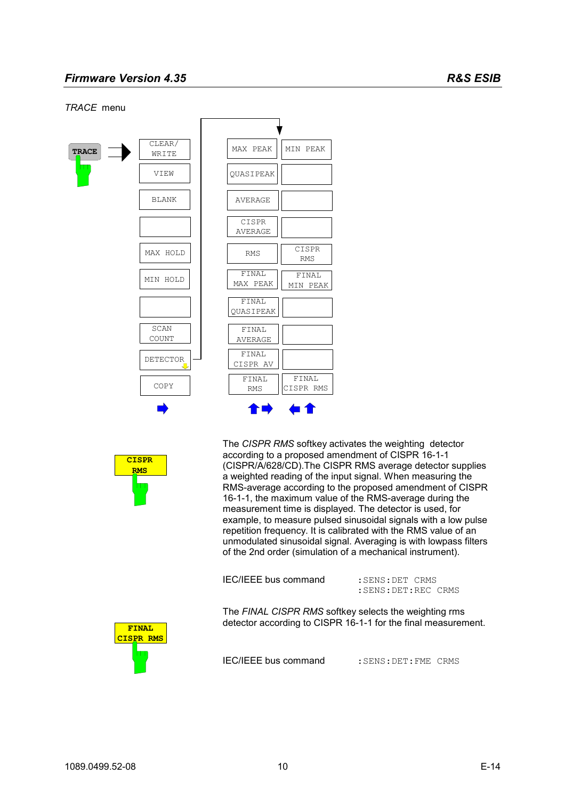#### *TRACE* menu



| MAX PEAK       | MIN PEAK            |
|----------------|---------------------|
| OUASIPEAK      |                     |
| <b>AVERAGE</b> |                     |
| CISPR          |                     |
| <b>AVERAGE</b> |                     |
| <b>RMS</b>     | CISPR<br><b>RMS</b> |
| <b>FINAL</b>   | <b>FINAL</b>        |
| MAX PEAK       | MIN PEAK            |
| <b>FINAL</b>   |                     |
| OUASIPEAK      |                     |
| FINAL          |                     |
| AVERAGE        |                     |
| FINAL          |                     |
| CISPR AV       |                     |
| FINAL          | <b>FINAL</b>        |
| <b>RMS</b>     | CISPR RMS           |



The *CISPR RMS* softkey activates the weighting detector according to a proposed amendment of CISPR 16-1-1 (CISPR/A/628/CD).The CISPR RMS average detector supplies a weighted reading of the input signal. When measuring the RMS-average according to the proposed amendment of CISPR 16-1-1, the maximum value of the RMS-average during the measurement time is displayed. The detector is used, for example, to measure pulsed sinusoidal signals with a low pulse repetition frequency. It is calibrated with the RMS value of an unmodulated sinusoidal signal. Averaging is with lowpass filters of the 2nd order (simulation of a mechanical instrument).

| <b>IEC/IEEE bus command</b> | : SENS: DET CRMS |  |
|-----------------------------|------------------|--|
|                             |                  |  |

:SENS:DET:REC CRMS

The *FINAL CISPR RMS* softkey selects the weighting rms detector according to CISPR 16-1-1 for the final measurement.



IEC/IEEE bus command : SENS: DET: FME CRMS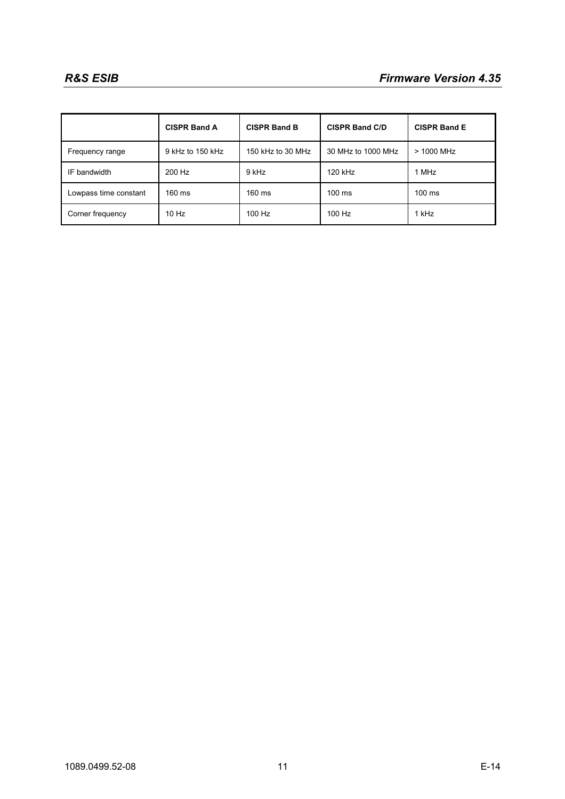|                       | <b>CISPR Band A</b> | <b>CISPR Band B</b> | <b>CISPR Band C/D</b> | <b>CISPR Band E</b> |
|-----------------------|---------------------|---------------------|-----------------------|---------------------|
| Frequency range       | 9 kHz to 150 kHz    | 150 kHz to 30 MHz   | 30 MHz to 1000 MHz    | > 1000 MHz          |
| IF bandwidth          | 200 Hz              | 9 kHz               | 120 kHz               | 1 MHz               |
| Lowpass time constant | 160 ms              | $160 \text{ ms}$    | $100 \text{ ms}$      | $100 \text{ ms}$    |
| Corner frequency      | $10$ Hz             | 100 Hz              | 100 Hz                | 1 kHz               |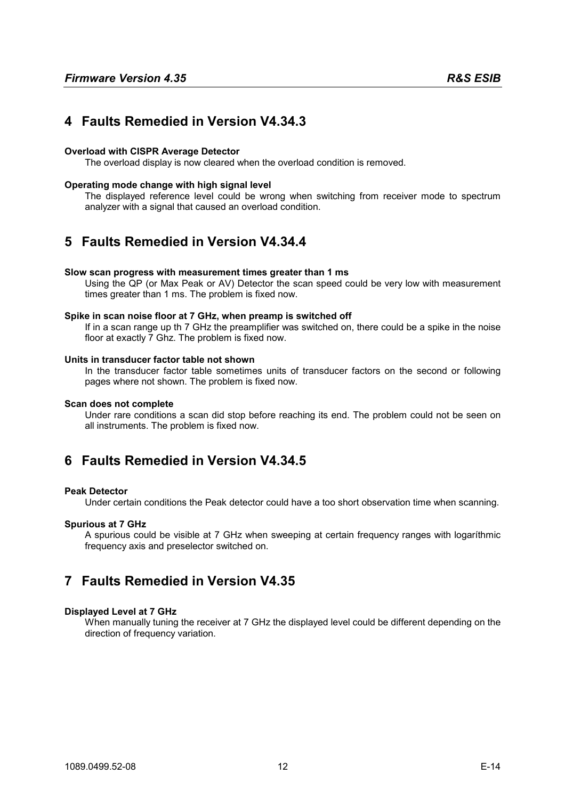# <span id="page-11-0"></span>**4 Faults Remedied in Version V4.34.3**

#### **Overload with CISPR Average Detector**

The overload display is now cleared when the overload condition is removed.

#### **Operating mode change with high signal level**

The displayed reference level could be wrong when switching from receiver mode to spectrum analyzer with a signal that caused an overload condition.

# **5 Faults Remedied in Version V4.34.4**

#### **Slow scan progress with measurement times greater than 1 ms**

Using the QP (or Max Peak or AV) Detector the scan speed could be very low with measurement times greater than 1 ms. The problem is fixed now.

#### **Spike in scan noise floor at 7 GHz, when preamp is switched off**

If in a scan range up th 7 GHz the preamplifier was switched on, there could be a spike in the noise floor at exactly 7 Ghz. The problem is fixed now.

#### **Units in transducer factor table not shown**

In the transducer factor table sometimes units of transducer factors on the second or following pages where not shown. The problem is fixed now.

#### **Scan does not complete**

Under rare conditions a scan did stop before reaching its end. The problem could not be seen on all instruments. The problem is fixed now.

# **6 Faults Remedied in Version V4.34.5**

#### **Peak Detector**

Under certain conditions the Peak detector could have a too short observation time when scanning.

#### **Spurious at 7 GHz**

A spurious could be visible at 7 GHz when sweeping at certain frequency ranges with logaríthmic frequency axis and preselector switched on.

# **7 Faults Remedied in Version V4.35**

#### **Displayed Level at 7 GHz**

When manually tuning the receiver at 7 GHz the displayed level could be different depending on the direction of frequency variation.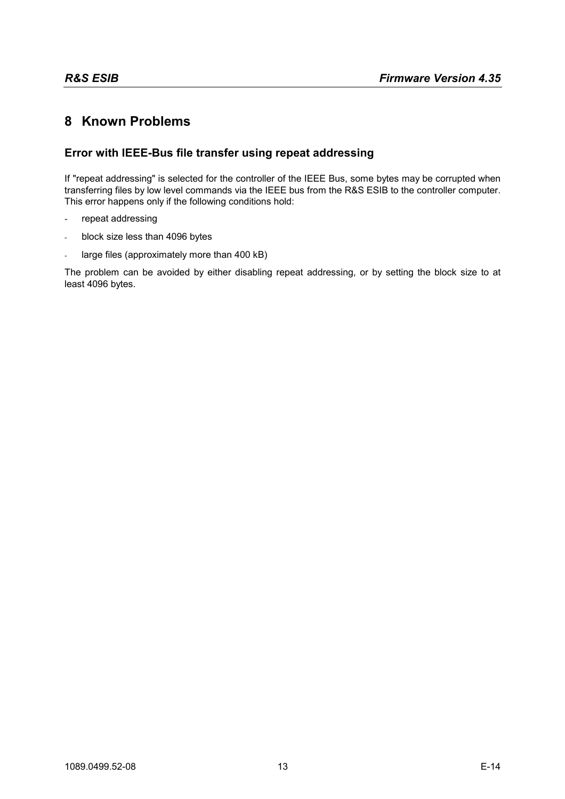# <span id="page-12-0"></span>**8 Known Problems**

# **Error with IEEE-Bus file transfer using repeat addressing**

If "repeat addressing" is selected for the controller of the IEEE Bus, some bytes may be corrupted when transferring files by low level commands via the IEEE bus from the R&S ESIB to the controller computer. This error happens only if the following conditions hold:

- repeat addressing
- block size less than 4096 bytes
- large files (approximately more than 400 kB)

The problem can be avoided by either disabling repeat addressing, or by setting the block size to at least 4096 bytes.